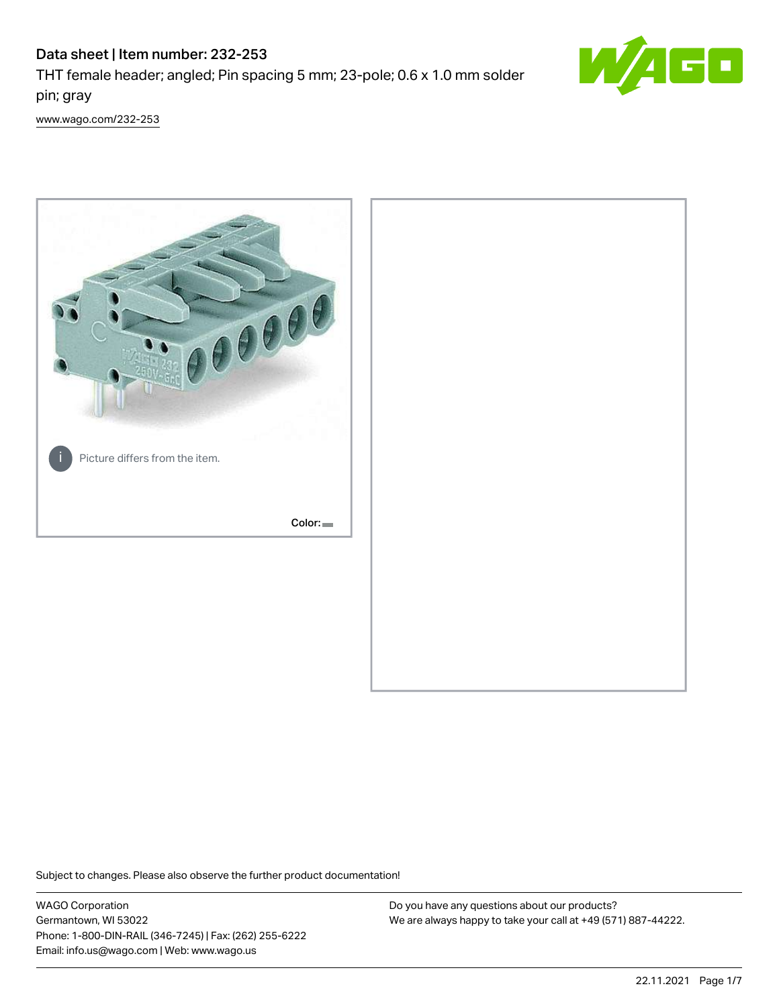# Data sheet | Item number: 232-253

THT female header; angled; Pin spacing 5 mm; 23-pole; 0.6 x 1.0 mm solder pin; gray



[www.wago.com/232-253](http://www.wago.com/232-253)



Subject to changes. Please also observe the further product documentation!

WAGO Corporation Germantown, WI 53022 Phone: 1-800-DIN-RAIL (346-7245) | Fax: (262) 255-6222 Email: info.us@wago.com | Web: www.wago.us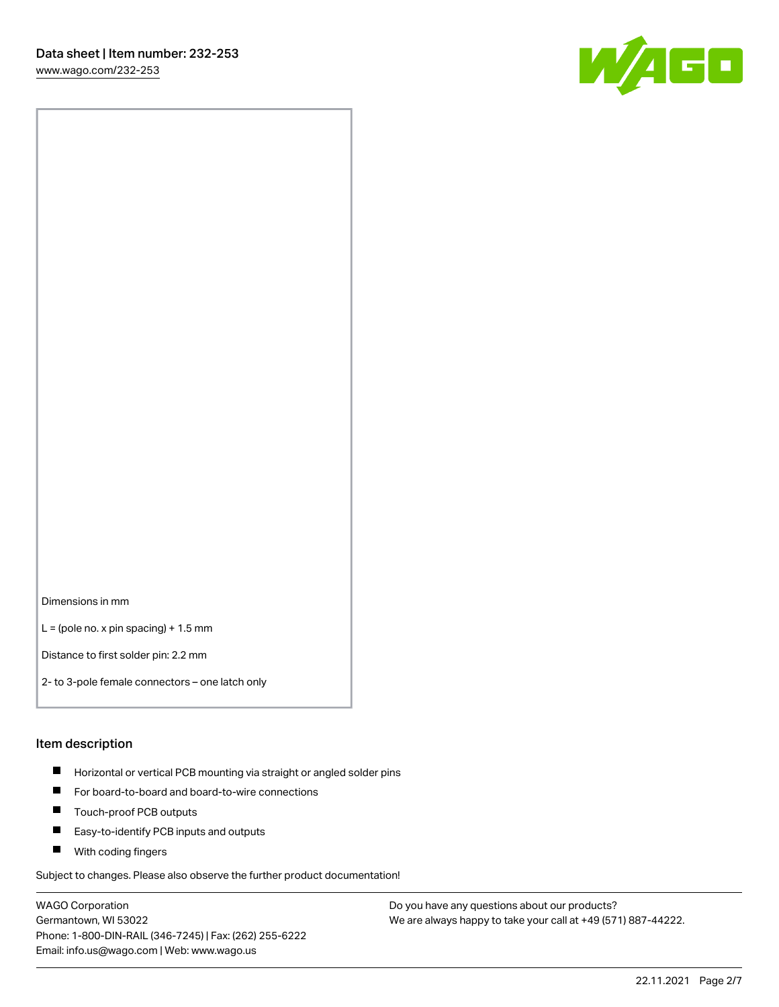W/160

Dimensions in mm

 $L =$  (pole no. x pin spacing) + 1.5 mm

Distance to first solder pin: 2.2 mm

2- to 3-pole female connectors – one latch only

#### Item description

- **Horizontal or vertical PCB mounting via straight or angled solder pins**
- For board-to-board and board-to-wire connections
- $\blacksquare$ Touch-proof PCB outputs
- $\blacksquare$ Easy-to-identify PCB inputs and outputs
- **Now With coding fingers**

Subject to changes. Please also observe the further product documentation!

WAGO Corporation Germantown, WI 53022 Phone: 1-800-DIN-RAIL (346-7245) | Fax: (262) 255-6222 Email: info.us@wago.com | Web: www.wago.us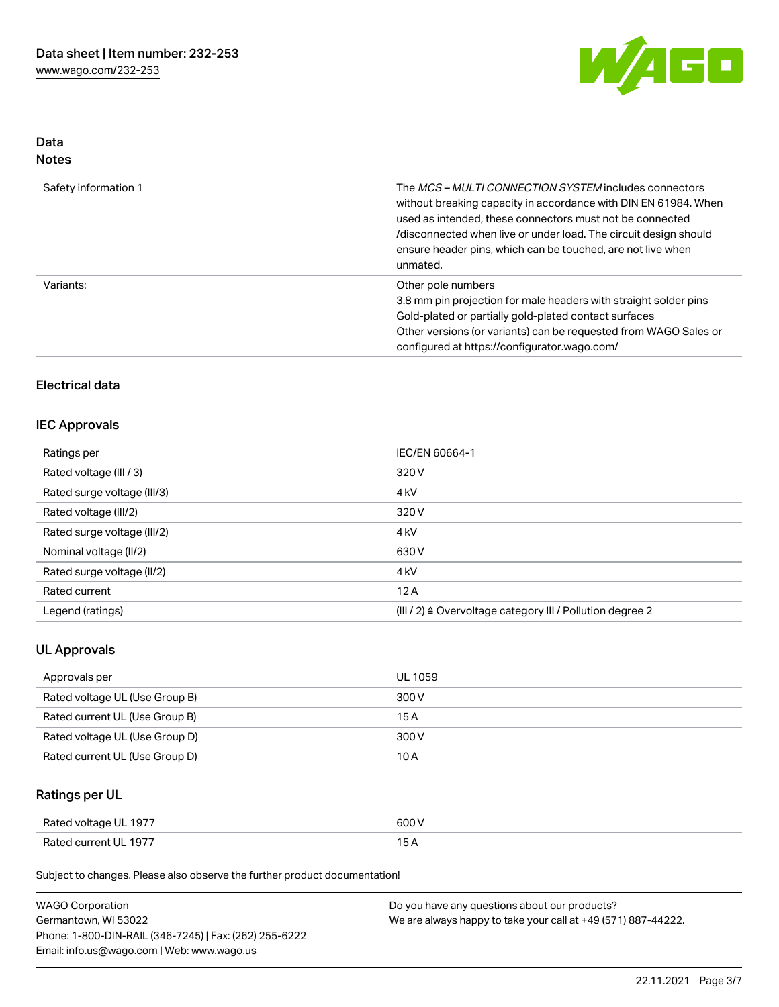

### Data Notes

| Safety information 1 | The <i>MCS – MULTI CONNECTION SYSTEM</i> includes connectors<br>without breaking capacity in accordance with DIN EN 61984. When<br>used as intended, these connectors must not be connected<br>/disconnected when live or under load. The circuit design should<br>ensure header pins, which can be touched, are not live when<br>unmated. |
|----------------------|--------------------------------------------------------------------------------------------------------------------------------------------------------------------------------------------------------------------------------------------------------------------------------------------------------------------------------------------|
| Variants:            | Other pole numbers<br>3.8 mm pin projection for male headers with straight solder pins<br>Gold-plated or partially gold-plated contact surfaces<br>Other versions (or variants) can be requested from WAGO Sales or<br>configured at https://configurator.wago.com/                                                                        |

# Electrical data

### IEC Approvals

| Ratings per                 | IEC/EN 60664-1                                                       |  |
|-----------------------------|----------------------------------------------------------------------|--|
| Rated voltage (III / 3)     | 320 V                                                                |  |
| Rated surge voltage (III/3) | 4 <sub>k</sub> V                                                     |  |
| Rated voltage (III/2)       | 320 V                                                                |  |
| Rated surge voltage (III/2) | 4 <sub>k</sub> V                                                     |  |
| Nominal voltage (II/2)      | 630 V                                                                |  |
| Rated surge voltage (II/2)  | 4 <sub>k</sub> V                                                     |  |
| Rated current               | 12A                                                                  |  |
| Legend (ratings)            | (III / 2) $\triangleq$ Overvoltage category III / Pollution degree 2 |  |

# UL Approvals

| Approvals per                  | <b>UL 1059</b> |
|--------------------------------|----------------|
| Rated voltage UL (Use Group B) | 300 V          |
| Rated current UL (Use Group B) | 15 A           |
| Rated voltage UL (Use Group D) | 300 V          |
| Rated current UL (Use Group D) | 10 A           |

# Ratings per UL

| Rated voltage UL 1977 | 600 V |
|-----------------------|-------|
| Rated current UL 1977 |       |

Subject to changes. Please also observe the further product documentation!

| <b>WAGO Corporation</b>                                | Do you have any questions about our products?                 |
|--------------------------------------------------------|---------------------------------------------------------------|
| Germantown, WI 53022                                   | We are always happy to take your call at +49 (571) 887-44222. |
| Phone: 1-800-DIN-RAIL (346-7245)   Fax: (262) 255-6222 |                                                               |
| Email: info.us@wago.com   Web: www.wago.us             |                                                               |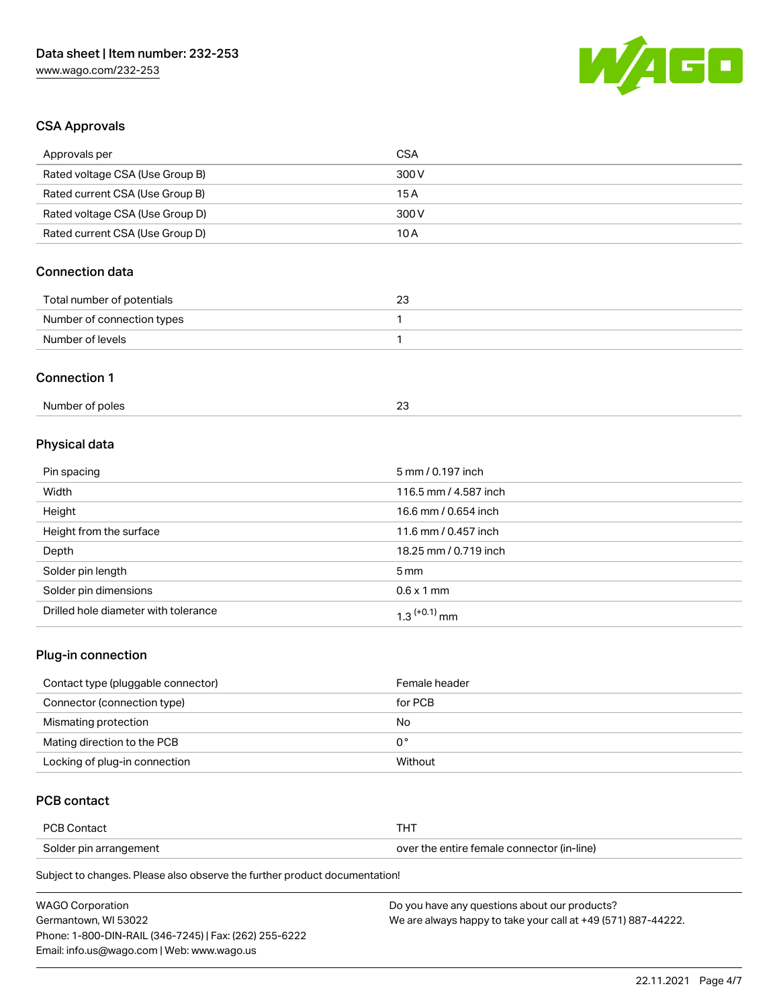

# CSA Approvals

| Approvals per                   | <b>CSA</b>            |  |
|---------------------------------|-----------------------|--|
| Rated voltage CSA (Use Group B) | 300V                  |  |
| Rated current CSA (Use Group B) | 15A                   |  |
| Rated voltage CSA (Use Group D) | 300V                  |  |
| Rated current CSA (Use Group D) | 10A                   |  |
| <b>Connection data</b>          |                       |  |
| Total number of potentials      | 23                    |  |
| Number of connection types      | 1                     |  |
| Number of levels                | 1                     |  |
| <b>Connection 1</b>             |                       |  |
| Number of poles                 | 23                    |  |
| Physical data                   |                       |  |
| Pin spacing                     | 5 mm / 0.197 inch     |  |
| Width                           | 116.5 mm / 4.587 inch |  |
| Height                          | 16.6 mm / 0.654 inch  |  |
| Height from the surface         | 11.6 mm / 0.457 inch  |  |
| Depth                           | 18.25 mm / 0.719 inch |  |
| Solder pin length               | 5 <sub>mm</sub>       |  |

| ___<br>-                             |               |
|--------------------------------------|---------------|
| Solder pin dimensions                | mm<br>N 6 x 1 |
| Drilled hole diameter with tolerance |               |
|                                      |               |

# Plug-in connection

| Contact type (pluggable connector) | Female header |
|------------------------------------|---------------|
| Connector (connection type)        | for PCB       |
| Mismating protection               | No            |
| Mating direction to the PCB        | 0°            |
| Locking of plug-in connection      | Without       |

# PCB contact

| <b>PCB Contact</b>     | п.                                         |
|------------------------|--------------------------------------------|
| Solder pin arrangement | over the entire female connector (in-line) |

Subject to changes. Please also observe the further product documentation!

| <b>WAGO Corporation</b>                                | Do you have any questions about our products?                 |
|--------------------------------------------------------|---------------------------------------------------------------|
| Germantown, WI 53022                                   | We are always happy to take your call at +49 (571) 887-44222. |
| Phone: 1-800-DIN-RAIL (346-7245)   Fax: (262) 255-6222 |                                                               |
| Email: info.us@wago.com   Web: www.wago.us             |                                                               |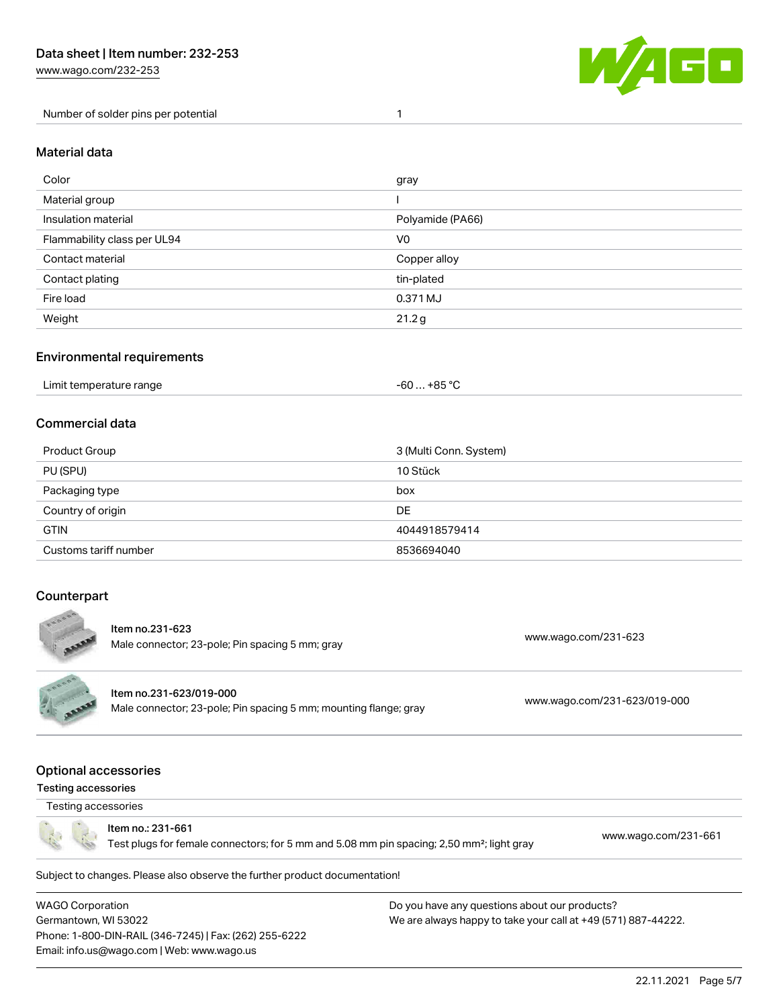Number of solder pins per potential 1



#### Material data

| Color                       | gray             |
|-----------------------------|------------------|
| Material group              |                  |
| Insulation material         | Polyamide (PA66) |
| Flammability class per UL94 | V <sub>0</sub>   |
| Contact material            | Copper alloy     |
| Contact plating             | tin-plated       |
| Fire load                   | 0.371 MJ         |
| Weight                      | 21.2g            |

#### Environmental requirements

| Limit temperature range | $-60+85 °C$ |  |
|-------------------------|-------------|--|
|-------------------------|-------------|--|

#### Commercial data

| Product Group         | 3 (Multi Conn. System) |
|-----------------------|------------------------|
| PU (SPU)              | 10 Stück               |
| Packaging type        | box                    |
| Country of origin     | DE                     |
| <b>GTIN</b>           | 4044918579414          |
| Customs tariff number | 8536694040             |

### **Counterpart**



Male connector; 23-pole; Pin spacing 5 mm; gray [www.wago.com/231-623](https://www.wago.com/231-623)<br>Male connector; 23-pole; Pin spacing 5 mm; gray

Item no.231-623/019-000

Male connector; 23-pole; Pin spacing 5 mm; mounting flange; gray [www.wago.com/231-623/019-000](https://www.wago.com/231-623/019-000)

#### Optional accessories

#### Testing accessories



Item no.: 231-661

Test plugs for female connectors; for 5 mm and 5.08 mm pin spacing; 2,50 mm²; light gray [www.wago.com/231-661](http://www.wago.com/231-661)

Subject to changes. Please also observe the further product documentation!

WAGO Corporation Germantown, WI 53022 Phone: 1-800-DIN-RAIL (346-7245) | Fax: (262) 255-6222 Email: info.us@wago.com | Web: www.wago.us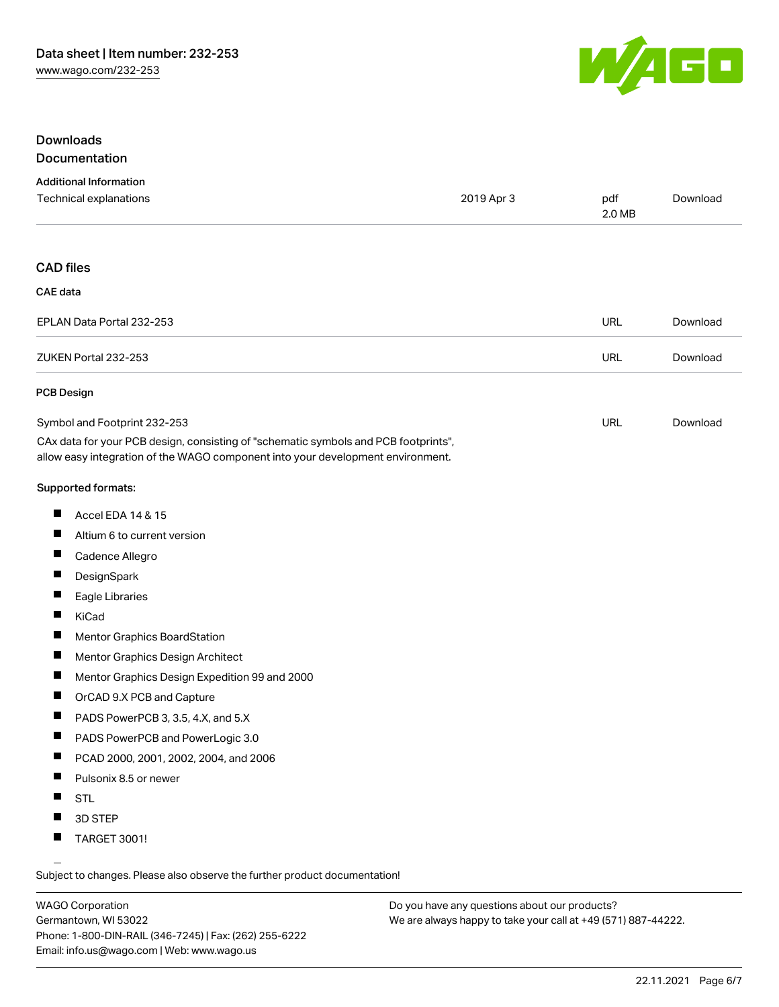

### Downloads **Documentation**

#### Additional Information

| Technical explanations                                                                                                                                                 | 2019 Apr 3 | pdf<br>2.0 MB | Download |
|------------------------------------------------------------------------------------------------------------------------------------------------------------------------|------------|---------------|----------|
| <b>CAD</b> files                                                                                                                                                       |            |               |          |
| <b>CAE</b> data                                                                                                                                                        |            |               |          |
| EPLAN Data Portal 232-253                                                                                                                                              |            | <b>URL</b>    | Download |
| ZUKEN Portal 232-253                                                                                                                                                   |            | <b>URL</b>    | Download |
| <b>PCB Design</b>                                                                                                                                                      |            |               |          |
| Symbol and Footprint 232-253                                                                                                                                           |            | <b>URL</b>    | Download |
| CAx data for your PCB design, consisting of "schematic symbols and PCB footprints",<br>allow easy integration of the WAGO component into your development environment. |            |               |          |
| <b>Supported formats:</b>                                                                                                                                              |            |               |          |
| ш<br>Accel EDA 14 & 15                                                                                                                                                 |            |               |          |
| H<br>Altium 6 to current version                                                                                                                                       |            |               |          |
| ш<br>Cadence Allegro                                                                                                                                                   |            |               |          |
| $\blacksquare$<br>DesignSpark                                                                                                                                          |            |               |          |
| $\blacksquare$<br>Eagle Libraries                                                                                                                                      |            |               |          |
| Ш<br>KiCad                                                                                                                                                             |            |               |          |
| $\blacksquare$<br>Mentor Graphics BoardStation                                                                                                                         |            |               |          |
| П<br>Mentor Graphics Design Architect                                                                                                                                  |            |               |          |
| ш<br>Mentor Graphics Design Expedition 99 and 2000                                                                                                                     |            |               |          |
| ш<br>OrCAD 9.X PCB and Capture                                                                                                                                         |            |               |          |
| ш<br>PADS PowerPCB 3, 3.5, 4.X, and 5.X                                                                                                                                |            |               |          |
| Ц<br>PADS PowerPCB and PowerLogic 3.0                                                                                                                                  |            |               |          |
| ш<br>PCAD 2000, 2001, 2002, 2004, and 2006                                                                                                                             |            |               |          |
| Ш<br>Pulsonix 8.5 or newer                                                                                                                                             |            |               |          |
| <b>STL</b>                                                                                                                                                             |            |               |          |
| П<br>3D STEP                                                                                                                                                           |            |               |          |
| ш<br><b>TARGET 3001!</b>                                                                                                                                               |            |               |          |

Subject to changes. Please also observe the further product documentation!

WAGO Corporation Germantown, WI 53022 Phone: 1-800-DIN-RAIL (346-7245) | Fax: (262) 255-6222 Email: info.us@wago.com | Web: www.wago.us